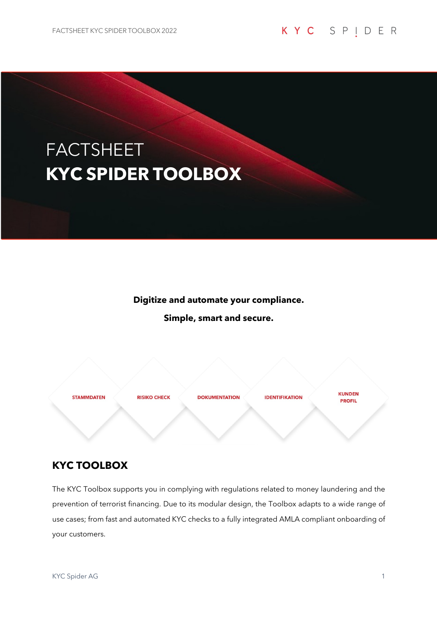# FACTSHEET **KYC SPIDER TOOLBOX**

**Digitize and automate your compliance.** 

**Simple, smart and secure.**

**STAMMDATEN** 

**RISIKO CHECK** 

**DOKUMENTATION** 

**IDENTIFIKATION** 

**KUNDEN PROFIL** 

# **KYC TOOLBOX**

The KYC Toolbox supports you in complying with regulations related to money laundering and the prevention of terrorist financing. Due to its modular design, the Toolbox adapts to a wide range of use cases; from fast and automated KYC checks to a fully integrated AMLA compliant onboarding of your customers.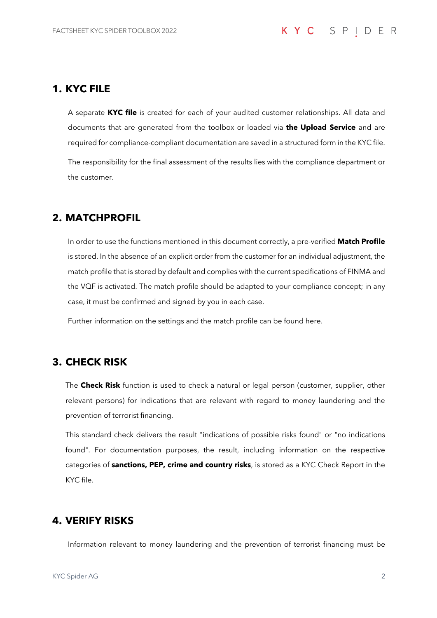#### **1. KYC FILE**

A separate **KYC file** is created for each of your audited customer relationships. All data and documents that are generated from the toolbox or loaded via **the Upload Service** and are required for compliance-compliant documentation are saved in a structured form in the KYC file. The responsibility for the final assessment of the results lies with the compliance department or the customer.

# **2. MATCHPROFIL**

In order to use the functions mentioned in this document correctly, a pre-verified **Match Profile** is stored. In the absence of an explicit order from the customer for an individual adjustment, the match profile that is stored by default and complies with the current specifications of FINMA and the VQF is activated. The match profile should be adapted to your compliance concept; in any case, it must be confirmed and signed by you in each case.

Further information on the settings and the match profile can be found here.

# **3. CHECK RISK**

The **Check Risk** function is used to check a natural or legal person (customer, supplier, other relevant persons) for indications that are relevant with regard to money laundering and the prevention of terrorist financing.

This standard check delivers the result "indications of possible risks found" or "no indications found". For documentation purposes, the result, including information on the respective categories of **sanctions, PEP, crime and country risks**, is stored as a KYC Check Report in the KYC file.

# **4. VERIFY RISKS**

Information relevant to money laundering and the prevention of terrorist financing must be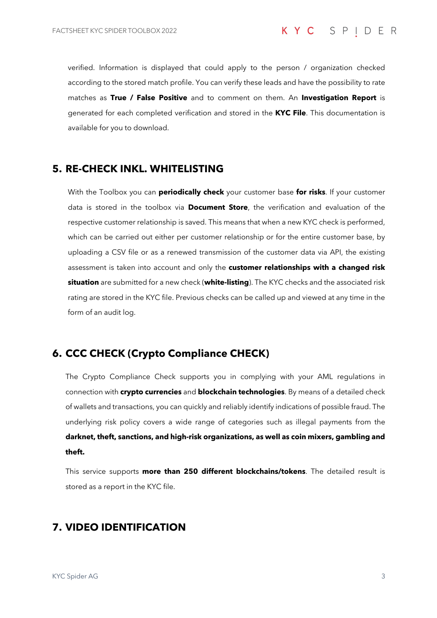verified. Information is displayed that could apply to the person / organization checked according to the stored match profile. You can verify these leads and have the possibility to rate matches as **True / False Positive** and to comment on them. An **Investigation Report** is generated for each completed verification and stored in the **KYC File**. This documentation is available for you to download.

# **5. RE-CHECK INKL. WHITELISTING**

With the Toolbox you can **periodically check** your customer base **for risks**. If your customer data is stored in the toolbox via **Document Store**, the verification and evaluation of the respective customer relationship is saved. This means that when a new KYC check is performed, which can be carried out either per customer relationship or for the entire customer base, by uploading a CSV file or as a renewed transmission of the customer data via API, the existing assessment is taken into account and only the **customer relationships with a changed risk situation** are submitted for a new check (**white-listing**). The KYC checks and the associated risk rating are stored in the KYC file. Previous checks can be called up and viewed at any time in the form of an audit log.

# **6. CCC CHECK (Crypto Compliance CHECK)**

The Crypto Compliance Check supports you in complying with your AML regulations in connection with **crypto currencies** and **blockchain technologies**. By means of a detailed check of wallets and transactions, you can quickly and reliably identify indications of possible fraud. The underlying risk policy covers a wide range of categories such as illegal payments from the **darknet, theft, sanctions, and high-risk organizations, as well as coin mixers, gambling and theft.**

This service supports **more than 250 different blockchains/tokens**. The detailed result is stored as a report in the KYC file.

# **7. VIDEO IDENTIFICATION**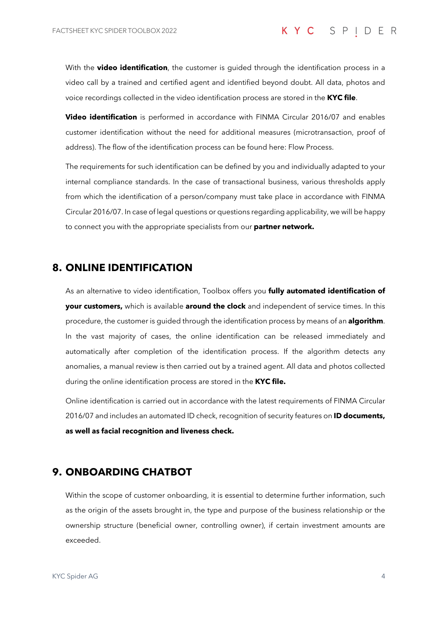With the **video identification**, the customer is guided through the identification process in a video call by a trained and certified agent and identified beyond doubt. All data, photos and voice recordings collected in the video identification process are stored in the **KYC file**.

**Video identification** is performed in accordance with FINMA Circular 2016/07 and enables customer identification without the need for additional measures (microtransaction, proof of address). The flow of the identification process can be found here: Flow Process.

The requirements for such identification can be defined by you and individually adapted to your internal compliance standards. In the case of transactional business, various thresholds apply from which the identification of a person/company must take place in accordance with FINMA Circular 2016/07. In case of legal questions or questions regarding applicability, we will be happy to connect you with the appropriate specialists from our **partner network.**

#### **8. ONLINE IDENTIFICATION**

As an alternative to video identification, Toolbox offers you **fully automated identification of your customers,** which is available **around the clock** and independent of service times. In this procedure, the customer is guided through the identification process by means of an **algorithm**. In the vast majority of cases, the online identification can be released immediately and automatically after completion of the identification process. If the algorithm detects any anomalies, a manual review is then carried out by a trained agent. All data and photos collected during the online identification process are stored in the **KYC file.**

Online identification is carried out in accordance with the latest requirements of FINMA Circular 2016/07 and includes an automated ID check, recognition of security features on **ID documents, as well as facial recognition and liveness check.**

#### **9. ONBOARDING CHATBOT**

Within the scope of customer onboarding, it is essential to determine further information, such as the origin of the assets brought in, the type and purpose of the business relationship or the ownership structure (beneficial owner, controlling owner), if certain investment amounts are exceeded.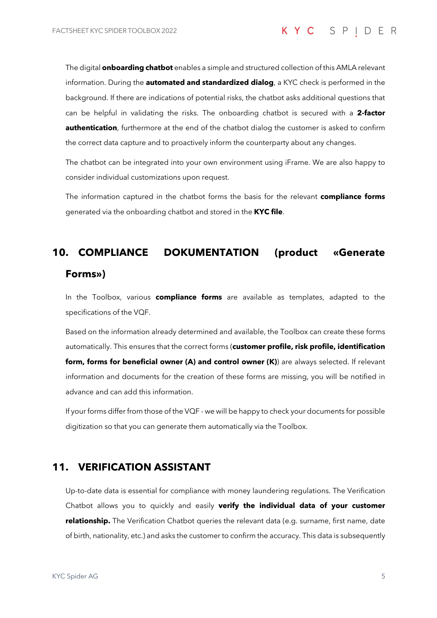The digital **onboarding chatbot** enables a simple and structured collection of this AMLA relevant information. During the **automated and standardized dialog**, a KYC check is performed in the background. If there are indications of potential risks, the chatbot asks additional questions that can be helpful in validating the risks. The onboarding chatbot is secured with a **2-factor authentication**, furthermore at the end of the chatbot dialog the customer is asked to confirm the correct data capture and to proactively inform the counterparty about any changes.

The chatbot can be integrated into your own environment using iFrame. We are also happy to consider individual customizations upon request.

The information captured in the chatbot forms the basis for the relevant **compliance forms** generated via the onboarding chatbot and stored in the **KYC file**.

# **10. COMPLIANCE DOKUMENTATION (product «Generate Forms»)**

In the Toolbox, various **compliance forms** are available as templates, adapted to the specifications of the VQF.

Based on the information already determined and available, the Toolbox can create these forms automatically. This ensures that the correct forms (**customer profile, risk profile, identification form, forms for beneficial owner (A) and control owner (K)**) are always selected. If relevant information and documents for the creation of these forms are missing, you will be notified in advance and can add this information.

If your forms differ from those of the VQF - we will be happy to check your documents for possible digitization so that you can generate them automatically via the Toolbox.

#### **11. VERIFICATION ASSISTANT**

Up-to-date data is essential for compliance with money laundering regulations. The Verification Chatbot allows you to quickly and easily **verify the individual data of your customer relationship.** The Verification Chatbot queries the relevant data (e.g. surname, first name, date of birth, nationality, etc.) and asks the customer to confirm the accuracy. This data is subsequently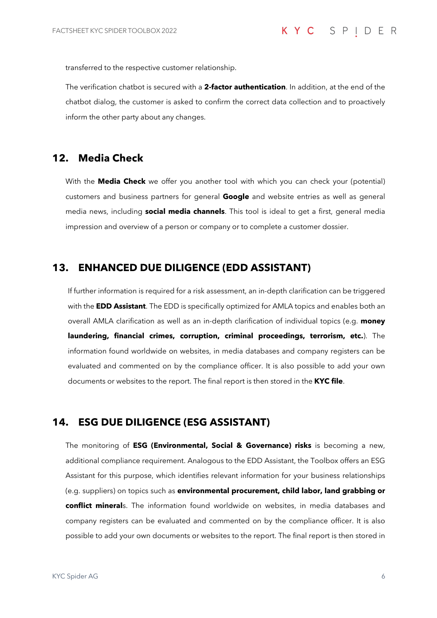transferred to the respective customer relationship.

The verification chatbot is secured with a **2-factor authentication**. In addition, at the end of the chatbot dialog, the customer is asked to confirm the correct data collection and to proactively inform the other party about any changes.

#### **12. Media Check**

With the **Media Check** we offer you another tool with which you can check your (potential) customers and business partners for general **Google** and website entries as well as general media news, including **social media channels**. This tool is ideal to get a first, general media impression and overview of a person or company or to complete a customer dossier.

#### **13. ENHANCED DUE DILIGENCE (EDD ASSISTANT)**

If further information is required for a risk assessment, an in-depth clarification can be triggered with the **EDD Assistant**. The EDD is specifically optimized for AMLA topics and enables both an overall AMLA clarification as well as an in-depth clarification of individual topics (e.g. **money laundering, financial crimes, corruption, criminal proceedings, terrorism, etc.**). The information found worldwide on websites, in media databases and company registers can be evaluated and commented on by the compliance officer. It is also possible to add your own documents or websites to the report. The final report is then stored in the **KYC file**.

# **14. ESG DUE DILIGENCE (ESG ASSISTANT)**

The monitoring of **ESG (Environmental, Social & Governance) risks** is becoming a new, additional compliance requirement. Analogous to the EDD Assistant, the Toolbox offers an ESG Assistant for this purpose, which identifies relevant information for your business relationships (e.g. suppliers) on topics such as **environmental procurement, child labor, land grabbing or conflict mineral**s. The information found worldwide on websites, in media databases and company registers can be evaluated and commented on by the compliance officer. It is also possible to add your own documents or websites to the report. The final report is then stored in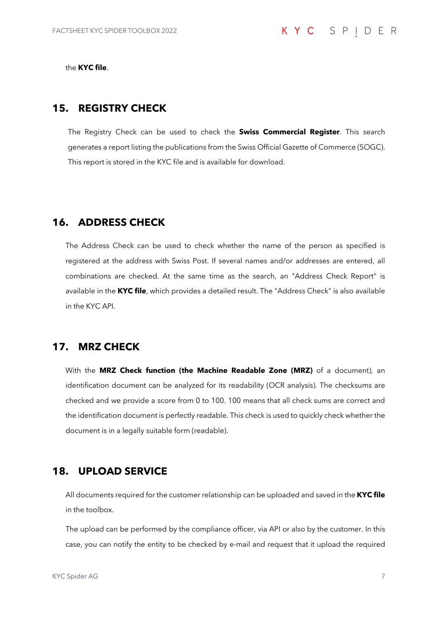the **KYC file**.

#### **15. REGISTRY CHECK**

The Registry Check can be used to check the **Swiss Commercial Register**. This search generates a report listing the publications from the Swiss Official Gazette of Commerce (SOGC). This report is stored in the KYC file and is available for download.

#### **16. ADDRESS CHECK**

The Address Check can be used to check whether the name of the person as specified is registered at the address with Swiss Post. If several names and/or addresses are entered, all combinations are checked. At the same time as the search, an "Address Check Report" is available in the **KYC file**, which provides a detailed result. The "Address Check" is also available in the KYC API.

#### **17. MRZ CHECK**

With the **MRZ Check function (the Machine Readable Zone (MRZ)** of a document), an identification document can be analyzed for its readability (OCR analysis). The checksums are checked and we provide a score from 0 to 100. 100 means that all check sums are correct and the identification document is perfectly readable. This check is used to quickly check whether the document is in a legally suitable form (readable).

#### **18. UPLOAD SERVICE**

All documents required for the customer relationship can be uploaded and saved in the **KYC file** in the toolbox.

The upload can be performed by the compliance officer, via API or also by the customer. In this case, you can notify the entity to be checked by e-mail and request that it upload the required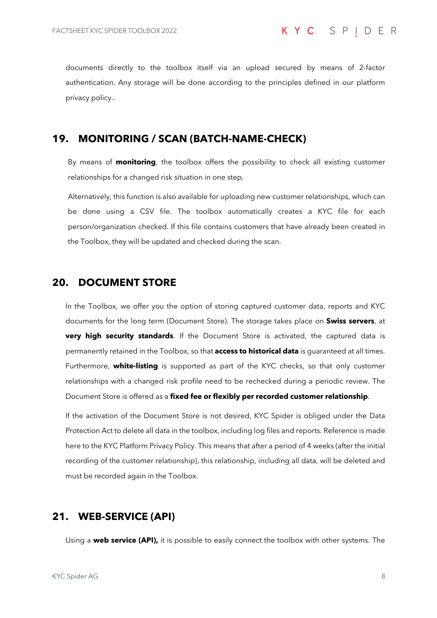documents directly to the toolbox itself via an upload secured by means of 2-factor authentication. Any storage will be done according to the principles defined in our platform privacy policy..

# **19. MONITORING / SCAN (BATCH-NAME-CHECK)**

By means of **monitoring**, the toolbox offers the possibility to check all existing customer relationships for a changed risk situation in one step.

Alternatively, this function is also available for uploading new customer relationships, which can be done using a CSV file. The toolbox automatically creates a KYC file for each person/organization checked. If this file contains customers that have already been created in the Toolbox, they will be updated and checked during the scan.

#### **20. DOCUMENT STORE**

In the Toolbox, we offer you the option of storing captured customer data, reports and KYC documents for the long term (Document Store). The storage takes place on **Swiss servers**, at **very high security standards**. If the Document Store is activated, the captured data is permanently retained in the Toolbox, so that **access to historical data** is guaranteed at all times. Furthermore, **white-listing** is supported as part of the KYC checks, so that only customer relationships with a changed risk profile need to be rechecked during a periodic review. The Document Store is offered as a **fixed fee or flexibly per recorded customer relationship**.

If the activation of the Document Store is not desired, KYC Spider is obliged under the Data Protection Act to delete all data in the toolbox, including log files and reports. Reference is made here to the KYC Platform Privacy Policy. This means that after a period of 4 weeks (after the initial recording of the customer relationship), this relationship, including all data, will be deleted and must be recorded again in the Toolbox.

#### **21. WEB-SERVICE (API)**

Using a **web service (API),** it is possible to easily connect the toolbox with other systems. The